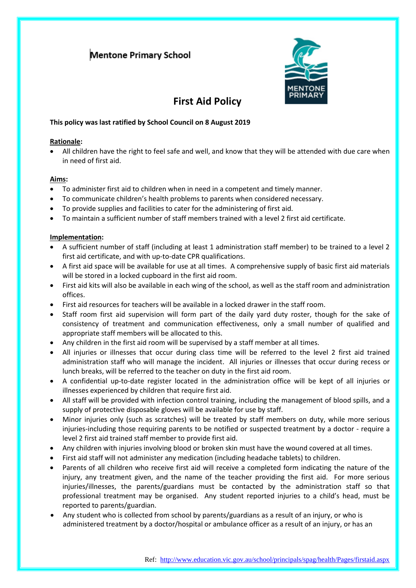## **Mentone Primary School**



# **First Aid Policy**

### **This policy was last ratified by School Council on 8 August 2019**

#### **Rationale:**

• All children have the right to feel safe and well, and know that they will be attended with due care when in need of first aid.

#### **Aims:**

- To administer first aid to children when in need in a competent and timely manner.
- To communicate children's health problems to parents when considered necessary.
- To provide supplies and facilities to cater for the administering of first aid.
- To maintain a sufficient number of staff members trained with a level 2 first aid certificate.

#### **Implementation:**

- A sufficient number of staff (including at least 1 administration staff member) to be trained to a level 2 first aid certificate, and with up-to-date CPR qualifications.
- A first aid space will be available for use at all times. A comprehensive supply of basic first aid materials will be stored in a locked cupboard in the first aid room.
- First aid kits will also be available in each wing of the school, as well as the staff room and administration offices.
- First aid resources for teachers will be available in a locked drawer in the staff room.
- Staff room first aid supervision will form part of the daily yard duty roster, though for the sake of consistency of treatment and communication effectiveness, only a small number of qualified and appropriate staff members will be allocated to this.
- Any children in the first aid room will be supervised by a staff member at all times.
- All injuries or illnesses that occur during class time will be referred to the level 2 first aid trained administration staff who will manage the incident. All injuries or illnesses that occur during recess or lunch breaks, will be referred to the teacher on duty in the first aid room.
- A confidential up-to-date register located in the administration office will be kept of all injuries or illnesses experienced by children that require first aid.
- All staff will be provided with infection control training, including the management of blood spills, and a supply of protective disposable gloves will be available for use by staff.
- Minor injuries only (such as scratches) will be treated by staff members on duty, while more serious injuries-including those requiring parents to be notified or suspected treatment by a doctor - require a level 2 first aid trained staff member to provide first aid.
- Any children with injuries involving blood or broken skin must have the wound covered at all times.
- First aid staff will not administer any medication (including headache tablets) to children.
- Parents of all children who receive first aid will receive a completed form indicating the nature of the injury, any treatment given, and the name of the teacher providing the first aid. For more serious injuries/illnesses, the parents/guardians must be contacted by the administration staff so that professional treatment may be organised. Any student reported injuries to a child's head, must be reported to parents/guardian.
- Any student who is collected from school by parents/guardians as a result of an injury, or who is administered treatment by a doctor/hospital or ambulance officer as a result of an injury, or has an